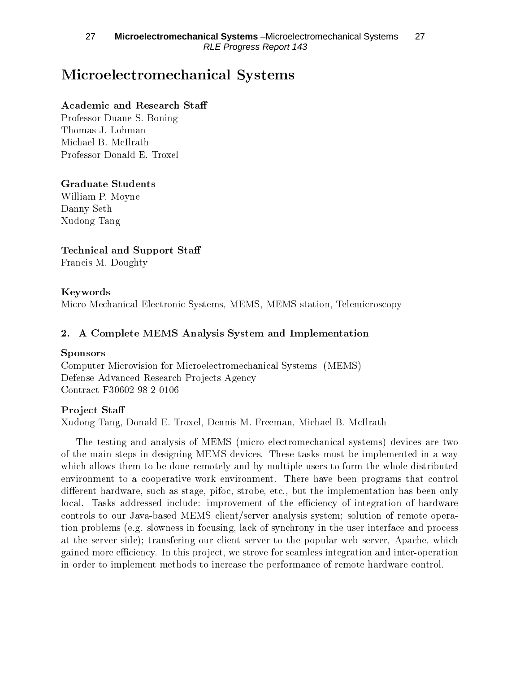# Microelectromechanical Systems

### Academic and Research Sta

Professor Duane S.Boning Thomas J. Lohman Michael B. McIlrath Professor Donald E. Troxel

### Graduate Students

William P. Moyne Danny Seth Xudong Tang

### Technical and Support Sta

Francis M. Doughty

### Keywords

Micro Mechanical Electronic Systems, MEMS, MEMS station, Telemicroscopy

### 2. A Complete MEMS Analysis System and Implementation

### Sponsors

Computer Microvision for Microelectromechanical Systems (MEMS) Defense Advanced Research Projects Agency Contract F30602-98-2-0106

### Project Staff

Xudong Tang, Donald E. Troxel, Dennis M. Freeman, Michael B. McIlrath

The testing and analysis of MEMS (micro electromechanical systems) devices are two of the main steps in designing MEMS devices. These tasks must be implemented in a way which allows them to be done remotely and by multiple users to form the whole distributed environment to a cooperative work environment. There have been programs that control different hardware, such as stage, pifoc, strobe, etc., but the implementation has been only local. Tasks addressed include: improvement of the efficiency of integration of hardware controls to our Java-based MEMS client/server analysis system; solution of remote operation problems (e.g. slowness in focusing, lack of synchrony in the user interface and process at the server side); transfering our client server to the popular web server, Apache, which gained more efficiency. In this project, we strove for seamless integration and inter-operation in order to implement methods to increase the performance of remote hardware control.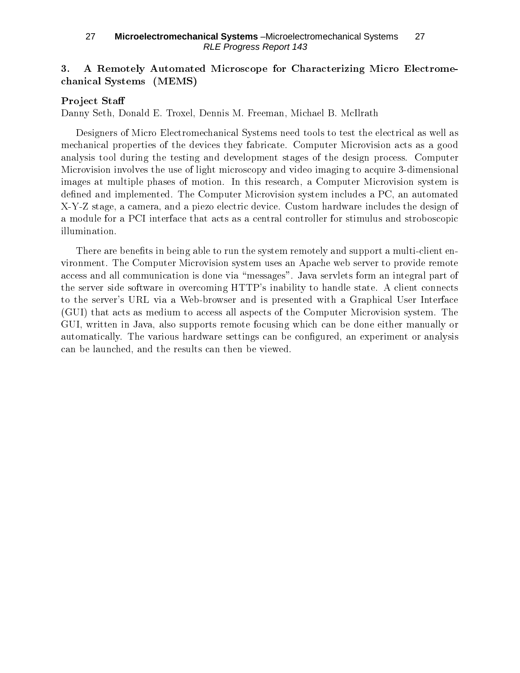### 27 **Microelectromechanical Systems** –Microelectromechanical Systems 27 RLE Progress Report 143

### 3. 3. A Remotely Automated Microscope for Characterizing Micro Electromechanical Systems (MEMS)

### Project Staff

Danny Seth, Donald E. Troxel, Dennis M. Freeman, Michael B. McIlrath

Designers of Micro Electromechanical Systems need tools to test the electrical as well as mechanical properties of the devices they fabricate. Computer Microvision acts as a good analysis tool during the testing and development stages of the design process. Computer Microvision involves the use of light microscopy and video imaging to acquire 3-dimensional images at multiple phases of motion. In this research, a Computer Microvision system is defined and implemented. The Computer Microvision system includes a PC, an automated X-Y-Z stage, a camera, and a piezo electric device. Custom hardware includes the design of a module for a PCI interface that acts as a central controller for stimulus and stroboscopic illumination.

There are benefits in being able to run the system remotely and support a multi-client environment. The Computer Microvision system uses an Apache web server to provide remote access and all communication is done via "messages". Java servlets form an integral part of the server side software in overcoming HTTP's inability to handle state. A client connects to the server's URL via a Web-browser and is presented with a Graphical User Interface (GUI) that acts as medium to access all aspects of the Computer Microvision system. The GUI, written in Java, also supports remote focusing which can be done either manually or automatically. The various hardware settings can be congured, an experiment or analysis can be launched, and the results can then be viewed.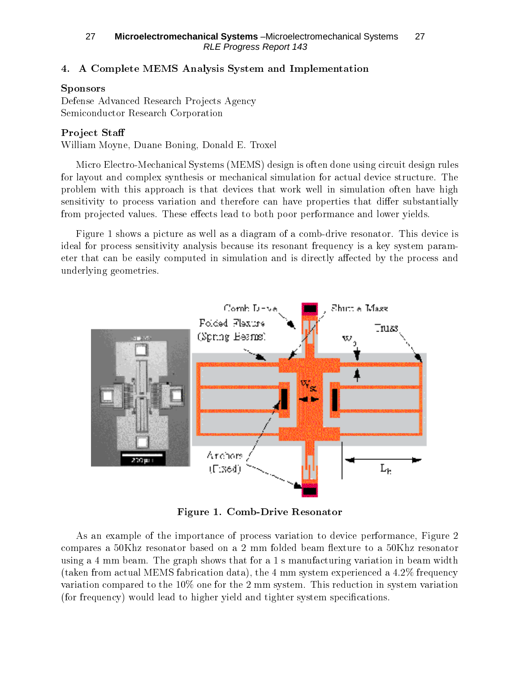### 27 **Microelectromechanical Systems** –Microelectromechanical Systems 27 RLE Progress Report 143

#### 4. 4. A Complete MEMS Analysis System and Implementation

### Sponsors

Defense Advanced Research Projects Agency Semiconductor Research Corporation

### Project Staff

William Moyne, Duane Boning, Donald E. Troxel

Micro Electro-Mechanical Systems (MEMS) design is often done using circuit design rules for layout and complex synthesis or mechanical simulation for actual device structure. The problem with this approach is that devices that work well in simulation often have high sensitivity to process variation and therefore can have properties that differ substantially from projected values. These effects lead to both poor performance and lower yields.

Figure 1 shows a picture as well as a diagram of a comb-drive resonator. This device is ideal for process sensitivity analysis because its resonant frequency is a key system parameter that can be easily computed in simulation and is directly affected by the process and underlying geometries.



Figure 1. Comb-Drive Resonator

As an example of the importance of process variation to device performance, Figure 2 compares a  $50$ Khz resonator based on a 2 mm folded beam flexture to a  $50$ Khz resonator using a 4 mm beam. The graph shows that for a 1 s manufacturing variation in beam width (taken from actual MEMS fabrication data), the 4 mm system experienced a 4.2% frequency variation compared to the 10% one for the 2 mm system. This reduction in system variation (for frequency) would lead to higher yield and tighter system specifications.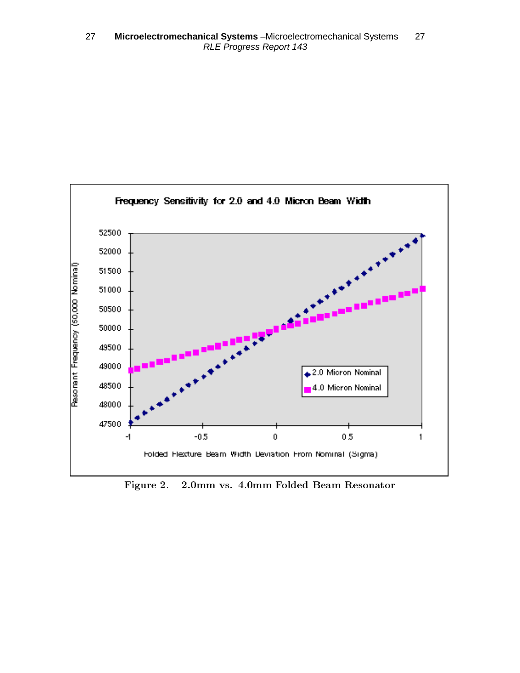

Figure 2. 2.0mm vs. 4.0mm Folded Beam Resonator